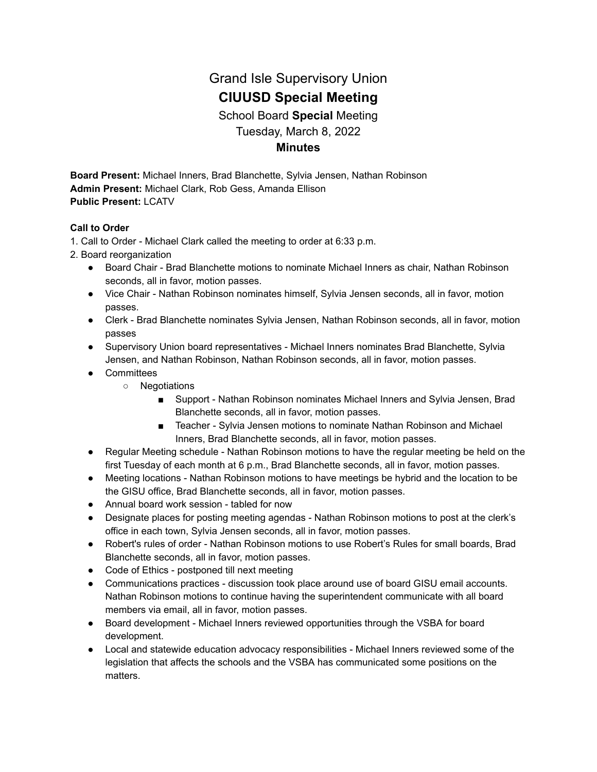# Grand Isle Supervisory Union **CIUUSD Special Meeting** School Board **Special** Meeting Tuesday, March 8, 2022 **Minutes**

**Board Present:** Michael Inners, Brad Blanchette, Sylvia Jensen, Nathan Robinson **Admin Present:** Michael Clark, Rob Gess, Amanda Ellison **Public Present:** LCATV

#### **Call to Order**

1. Call to Order - Michael Clark called the meeting to order at 6:33 p.m.

- 2. Board reorganization
	- Board Chair Brad Blanchette motions to nominate Michael Inners as chair, Nathan Robinson seconds, all in favor, motion passes.
	- Vice Chair Nathan Robinson nominates himself, Sylvia Jensen seconds, all in favor, motion passes.
	- Clerk Brad Blanchette nominates Sylvia Jensen, Nathan Robinson seconds, all in favor, motion passes
	- Supervisory Union board representatives Michael Inners nominates Brad Blanchette, Sylvia Jensen, and Nathan Robinson, Nathan Robinson seconds, all in favor, motion passes.
	- Committees
		- Negotiations
			- Support Nathan Robinson nominates Michael Inners and Sylvia Jensen, Brad Blanchette seconds, all in favor, motion passes.
			- Teacher Sylvia Jensen motions to nominate Nathan Robinson and Michael Inners, Brad Blanchette seconds, all in favor, motion passes.
	- Regular Meeting schedule Nathan Robinson motions to have the regular meeting be held on the first Tuesday of each month at 6 p.m., Brad Blanchette seconds, all in favor, motion passes.
	- Meeting locations Nathan Robinson motions to have meetings be hybrid and the location to be the GISU office, Brad Blanchette seconds, all in favor, motion passes.
	- Annual board work session tabled for now
	- Designate places for posting meeting agendas Nathan Robinson motions to post at the clerk's office in each town, Sylvia Jensen seconds, all in favor, motion passes.
	- Robert's rules of order Nathan Robinson motions to use Robert's Rules for small boards, Brad Blanchette seconds, all in favor, motion passes.
	- Code of Ethics postponed till next meeting
	- Communications practices discussion took place around use of board GISU email accounts. Nathan Robinson motions to continue having the superintendent communicate with all board members via email, all in favor, motion passes.
	- Board development Michael Inners reviewed opportunities through the VSBA for board development.
	- Local and statewide education advocacy responsibilities Michael Inners reviewed some of the legislation that affects the schools and the VSBA has communicated some positions on the matters.